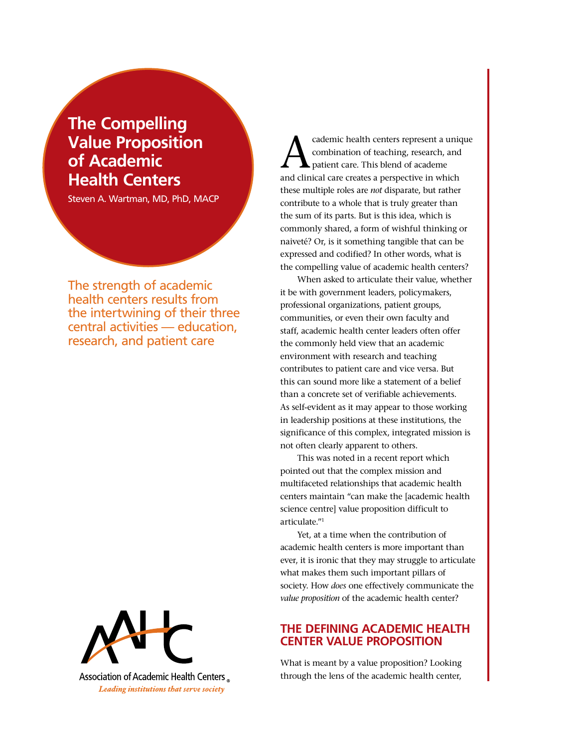# **The Compelling Value Proposition of Academic Health Centers**

Steven A. Wartman, MD, PhD, MACP

The strength of academic health centers results from the intertwining of their three central activities — education, research, and patient care



Association of Academic Health Centers Leading institutions that serve society

cademic health centers represent a unique combination of teaching, research, and patient care. This blend of academe and clinical care creates a perspective in which these multiple roles are *not* disparate, but rather contribute to a whole that is truly greater than the sum of its parts. But is this idea, which is commonly shared, a form of wishful thinking or naiveté? Or, is it something tangible that can be expressed and codified? In other words, what is the compelling value of academic health centers?

When asked to articulate their value, whether it be with government leaders, policymakers, professional organizations, patient groups, communities, or even their own faculty and staff, academic health center leaders often offer the commonly held view that an academic environment with research and teaching contributes to patient care and vice versa. But this can sound more like a statement of a belief than a concrete set of verifiable achievements. As self-evident as it may appear to those working in leadership positions at these institutions, the significance of this complex, integrated mission is not often clearly apparent to others.

This was noted in a recent report which pointed out that the complex mission and multifaceted relationships that academic health centers maintain "can make the [academic health science centre] value proposition difficult to articulate."1

Yet, at a time when the contribution of academic health centers is more important than ever, it is ironic that they may struggle to articulate what makes them such important pillars of society. How *does* one effectively communicate the *value proposition* of the academic health center?

# **The Defining Academic Health Center Value Proposition**

What is meant by a value proposition? Looking through the lens of the academic health center,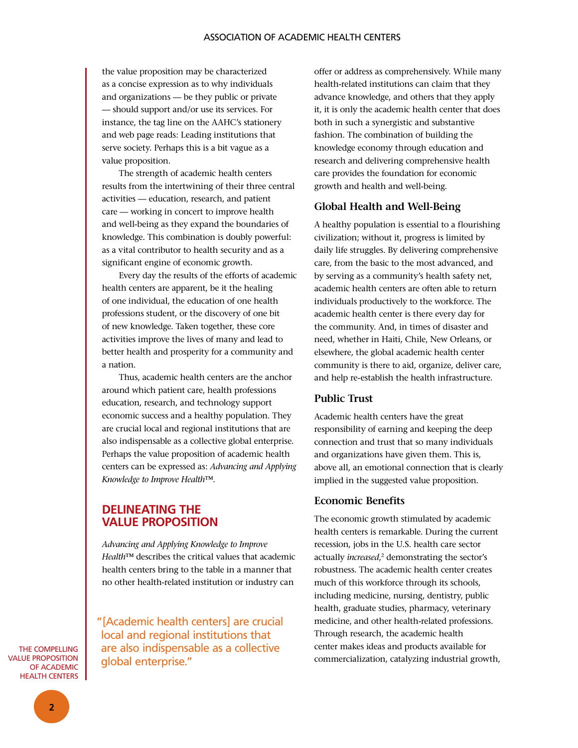the value proposition may be characterized as a concise expression as to why individuals and organizations — be they public or private — should support and/or use its services. For instance, the tag line on the AAHC's stationery and web page reads: Leading institutions that serve society. Perhaps this is a bit vague as a value proposition.

The strength of academic health centers results from the intertwining of their three central activities — education, research, and patient care — working in concert to improve health and well-being as they expand the boundaries of knowledge. This combination is doubly powerful: as a vital contributor to health security and as a significant engine of economic growth.

Every day the results of the efforts of academic health centers are apparent, be it the healing of one individual, the education of one health professions student, or the discovery of one bit of new knowledge. Taken together, these core activities improve the lives of many and lead to better health and prosperity for a community and a nation.

Thus, academic health centers are the anchor around which patient care, health professions education, research, and technology support economic success and a healthy population. They are crucial local and regional institutions that are also indispensable as a collective global enterprise. Perhaps the value proposition of academic health centers can be expressed as: *Advancing and Applying Knowledge to Improve Health*™.

# **DelinEating the value proposition**

*Advancing and Applying Knowledge to Improve Health*™ describes the critical values that academic health centers bring to the table in a manner that no other health-related institution or industry can

"[Academic health centers] are crucial local and regional institutions that are also indispensable as a collective global enterprise."

offer or address as comprehensively. While many health-related institutions can claim that they advance knowledge, and others that they apply it, it is only the academic health center that does both in such a synergistic and substantive fashion. The combination of building the knowledge economy through education and research and delivering comprehensive health care provides the foundation for economic growth and health and well-being.

## **Global Health and Well-Being**

A healthy population is essential to a flourishing civilization; without it, progress is limited by daily life struggles. By delivering comprehensive care, from the basic to the most advanced, and by serving as a community's health safety net, academic health centers are often able to return individuals productively to the workforce. The academic health center is there every day for the community. And, in times of disaster and need, whether in Haiti, Chile, New Orleans, or elsewhere, the global academic health center community is there to aid, organize, deliver care, and help re-establish the health infrastructure.

### **Public Trust**

Academic health centers have the great responsibility of earning and keeping the deep connection and trust that so many individuals and organizations have given them. This is, above all, an emotional connection that is clearly implied in the suggested value proposition.

#### **Economic Benefits**

The economic growth stimulated by academic health centers is remarkable. During the current recession, jobs in the U.S. health care sector actually *increased*,<sup>2</sup> demonstrating the sector's robustness. The academic health center creates much of this workforce through its schools, including medicine, nursing, dentistry, public health, graduate studies, pharmacy, veterinary medicine, and other health-related professions. Through research, the academic health center makes ideas and products available for commercialization, catalyzing industrial growth,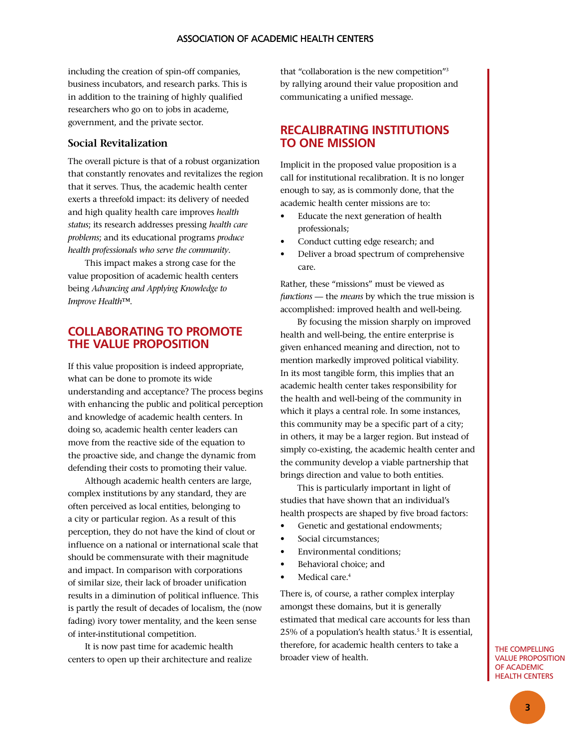including the creation of spin-off companies, business incubators, and research parks. This is in addition to the training of highly qualified researchers who go on to jobs in academe, government, and the private sector.

## **Social Revitalization**

The overall picture is that of a robust organization that constantly renovates and revitalizes the region that it serves. Thus, the academic health center exerts a threefold impact: its delivery of needed and high quality health care improves *health status*; its research addresses pressing *health care problems*; and its educational programs *produce health professionals who serve the community*.

This impact makes a strong case for the value proposition of academic health centers being *Advancing and Applying Knowledge to Improve Health*™.

# **Collaborating to promote the value proposition**

If this value proposition is indeed appropriate, what can be done to promote its wide understanding and acceptance? The process begins with enhancing the public and political perception and knowledge of academic health centers. In doing so, academic health center leaders can move from the reactive side of the equation to the proactive side, and change the dynamic from defending their costs to promoting their value.

Although academic health centers are large, complex institutions by any standard, they are often perceived as local entities, belonging to a city or particular region. As a result of this perception, they do not have the kind of clout or influence on a national or international scale that should be commensurate with their magnitude and impact. In comparison with corporations of similar size, their lack of broader unification results in a diminution of political influence. This is partly the result of decades of localism, the (now fading) ivory tower mentality, and the keen sense of inter-institutional competition.

It is now past time for academic health centers to open up their architecture and realize

that "collaboration is the new competition"3 by rallying around their value proposition and communicating a unified message.

# **recalibrating institutions to one mission**

Implicit in the proposed value proposition is a call for institutional recalibration. It is no longer enough to say, as is commonly done, that the academic health center missions are to:

- Educate the next generation of health professionals;
- Conduct cutting edge research; and
- Deliver a broad spectrum of comprehensive care.

Rather, these "missions" must be viewed as *functions* — the *means* by which the true mission is accomplished: improved health and well-being.

By focusing the mission sharply on improved health and well-being, the entire enterprise is given enhanced meaning and direction, not to mention markedly improved political viability. In its most tangible form, this implies that an academic health center takes responsibility for the health and well-being of the community in which it plays a central role. In some instances, this community may be a specific part of a city; in others, it may be a larger region. But instead of simply co-existing, the academic health center and the community develop a viable partnership that brings direction and value to both entities.

This is particularly important in light of studies that have shown that an individual's health prospects are shaped by five broad factors:

- Genetic and gestational endowments;
- Social circumstances:
- Environmental conditions:
- Behavioral choice: and
- Medical care.<sup>4</sup>

There is, of course, a rather complex interplay amongst these domains, but it is generally estimated that medical care accounts for less than 25% of a population's health status.<sup>5</sup> It is essential, therefore, for academic health centers to take a broader view of health.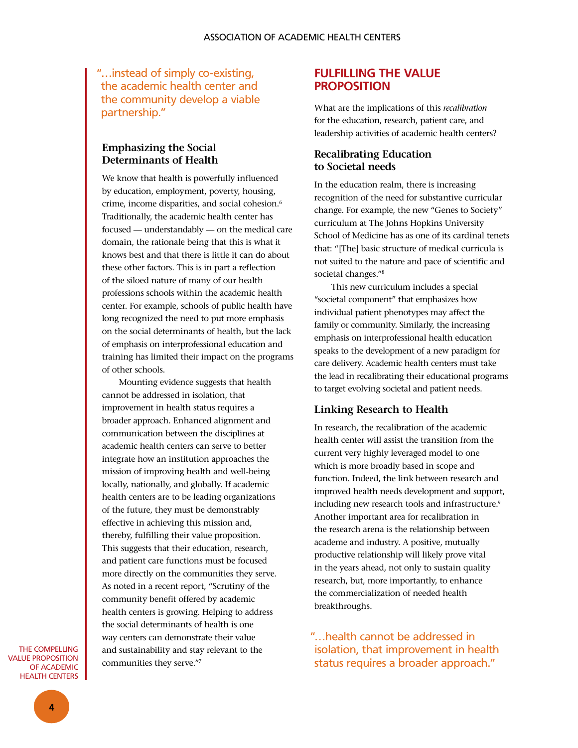"…instead of simply co-existing, the academic health center and the community develop a viable partnership."

# **Emphasizing the Social Determinants of Health**

We know that health is powerfully influenced by education, employment, poverty, housing, crime, income disparities, and social cohesion.6 Traditionally, the academic health center has focused — understandably — on the medical care domain, the rationale being that this is what it knows best and that there is little it can do about these other factors. This is in part a reflection of the siloed nature of many of our health professions schools within the academic health center. For example, schools of public health have long recognized the need to put more emphasis on the social determinants of health, but the lack of emphasis on interprofessional education and training has limited their impact on the programs of other schools.

Mounting evidence suggests that health cannot be addressed in isolation, that improvement in health status requires a broader approach. Enhanced alignment and communication between the disciplines at academic health centers can serve to better integrate how an institution approaches the mission of improving health and well-being locally, nationally, and globally. If academic health centers are to be leading organizations of the future, they must be demonstrably effective in achieving this mission and, thereby, fulfilling their value proposition. This suggests that their education, research, and patient care functions must be focused more directly on the communities they serve. As noted in a recent report, "Scrutiny of the community benefit offered by academic health centers is growing. Helping to address the social determinants of health is one way centers can demonstrate their value and sustainability and stay relevant to the communities they serve."7

The Compelling Value Proposition OF ACADEMIC Health Centers

# **FULFILLING the Value Proposition**

What are the implications of this *recalibration* for the education, research, patient care, and leadership activities of academic health centers?

# **Recalibrating Education to Societal needs**

In the education realm, there is increasing recognition of the need for substantive curricular change. For example, the new "Genes to Society" curriculum at The Johns Hopkins University School of Medicine has as one of its cardinal tenets that: "[The] basic structure of medical curricula is not suited to the nature and pace of scientific and societal changes."8

This new curriculum includes a special "societal component" that emphasizes how individual patient phenotypes may affect the family or community. Similarly, the increasing emphasis on interprofessional health education speaks to the development of a new paradigm for care delivery. Academic health centers must take the lead in recalibrating their educational programs to target evolving societal and patient needs.

## **Linking Research to Health**

In research, the recalibration of the academic health center will assist the transition from the current very highly leveraged model to one which is more broadly based in scope and function. Indeed, the link between research and improved health needs development and support, including new research tools and infrastructure.<sup>9</sup> Another important area for recalibration in the research arena is the relationship between academe and industry. A positive, mutually productive relationship will likely prove vital in the years ahead, not only to sustain quality research, but, more importantly, to enhance the commercialization of needed health breakthroughs.

"…health cannot be addressed in isolation, that improvement in health status requires a broader approach."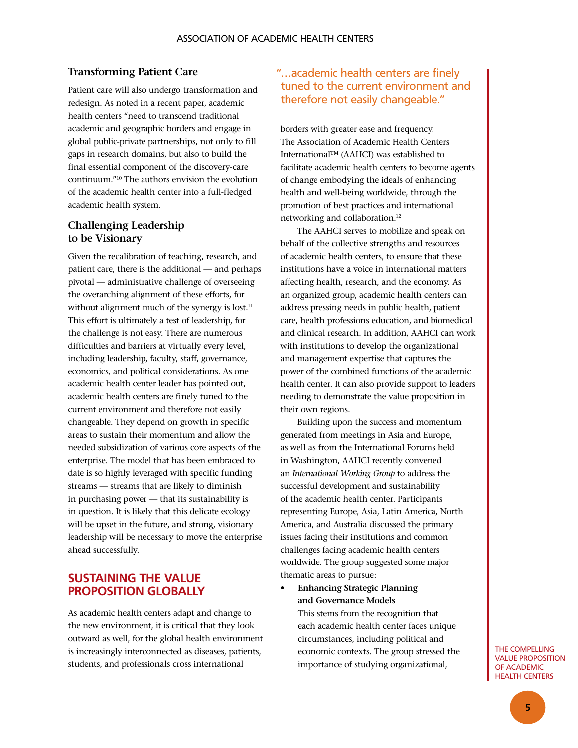## **Transforming Patient Care**

Patient care will also undergo transformation and redesign. As noted in a recent paper, academic health centers "need to transcend traditional academic and geographic borders and engage in global public-private partnerships, not only to fill gaps in research domains, but also to build the final essential component of the discovery-care continuum."10 The authors envision the evolution of the academic health center into a full-fledged academic health system.

## **Challenging Leadership to be Visionary**

Given the recalibration of teaching, research, and patient care, there is the additional — and perhaps pivotal — administrative challenge of overseeing the overarching alignment of these efforts, for without alignment much of the synergy is lost.<sup>11</sup> This effort is ultimately a test of leadership, for the challenge is not easy. There are numerous difficulties and barriers at virtually every level, including leadership, faculty, staff, governance, economics, and political considerations. As one academic health center leader has pointed out, academic health centers are finely tuned to the current environment and therefore not easily changeable. They depend on growth in specific areas to sustain their momentum and allow the needed subsidization of various core aspects of the enterprise. The model that has been embraced to date is so highly leveraged with specific funding streams — streams that are likely to diminish in purchasing power — that its sustainability is in question. It is likely that this delicate ecology will be upset in the future, and strong, visionary leadership will be necessary to move the enterprise ahead successfully.

# **Sustaining the Value Proposition Globally**

As academic health centers adapt and change to the new environment, it is critical that they look outward as well, for the global health environment is increasingly interconnected as diseases, patients, students, and professionals cross international

# "…academic health centers are finely tuned to the current environment and therefore not easily changeable."

borders with greater ease and frequency. The Association of Academic Health Centers International™ (AAHCI) was established to facilitate academic health centers to become agents of change embodying the ideals of enhancing health and well-being worldwide, through the promotion of best practices and international networking and collaboration.12

The AAHCI serves to mobilize and speak on behalf of the collective strengths and resources of academic health centers, to ensure that these institutions have a voice in international matters affecting health, research, and the economy. As an organized group, academic health centers can address pressing needs in public health, patient care, health professions education, and biomedical and clinical research. In addition, AAHCI can work with institutions to develop the organizational and management expertise that captures the power of the combined functions of the academic health center. It can also provide support to leaders needing to demonstrate the value proposition in their own regions.

Building upon the success and momentum generated from meetings in Asia and Europe, as well as from the International Forums held in Washington, AAHCI recently convened an *International Working Group* to address the successful development and sustainability of the academic health center. Participants representing Europe, Asia, Latin America, North America, and Australia discussed the primary issues facing their institutions and common challenges facing academic health centers worldwide. The group suggested some major thematic areas to pursue:

**Enhancing Strategic Planning and Governance Models**

> This stems from the recognition that each academic health center faces unique circumstances, including political and economic contexts. The group stressed the importance of studying organizational,

#### The Compelling Value Proposition of Academic Health Centers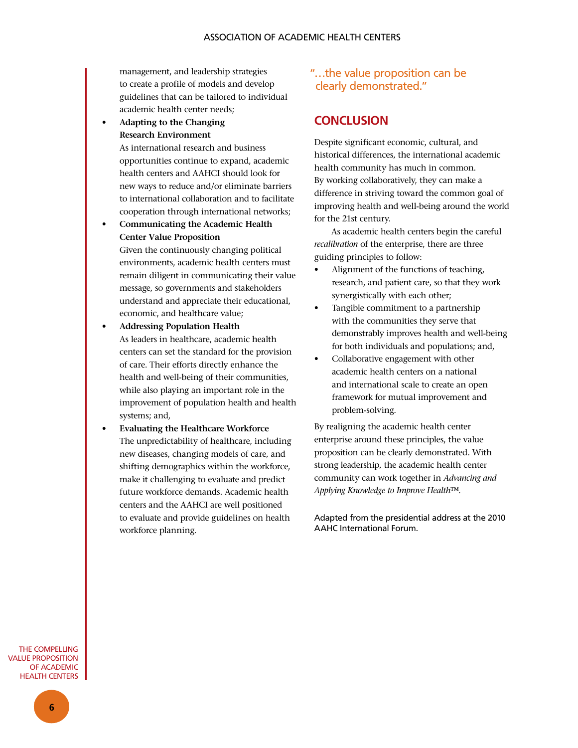management, and leadership strategies to create a profile of models and develop guidelines that can be tailored to individual academic health center needs;

Adapting to the Changing **Research Environment**

> As international research and business opportunities continue to expand, academic health centers and AAHCI should look for new ways to reduce and/or eliminate barriers to international collaboration and to facilitate cooperation through international networks;

**Communicating the Academic Health Center Value Proposition**

 Given the continuously changing political environments, academic health centers must remain diligent in communicating their value message, so governments and stakeholders understand and appreciate their educational, economic, and healthcare value;

- • **Addressing Population Health** As leaders in healthcare, academic health centers can set the standard for the provision of care. Their efforts directly enhance the health and well-being of their communities, while also playing an important role in the improvement of population health and health systems; and,
- • **Evaluating the Healthcare Workforce**  The unpredictability of healthcare, including new diseases, changing models of care, and shifting demographics within the workforce, make it challenging to evaluate and predict future workforce demands. Academic health centers and the AAHCI are well positioned to evaluate and provide guidelines on health workforce planning.

# "…the value proposition can be clearly demonstrated."

# **CONCLUSION**

Despite significant economic, cultural, and historical differences, the international academic health community has much in common. By working collaboratively, they can make a difference in striving toward the common goal of improving health and well-being around the world for the 21st century.

As academic health centers begin the careful *recalibration* of the enterprise, there are three guiding principles to follow:

- Alignment of the functions of teaching, research, and patient care, so that they work synergistically with each other;
- Tangible commitment to a partnership with the communities they serve that demonstrably improves health and well-being for both individuals and populations; and,
- Collaborative engagement with other academic health centers on a national and international scale to create an open framework for mutual improvement and problem-solving.

By realigning the academic health center enterprise around these principles, the value proposition can be clearly demonstrated. With strong leadership, the academic health center community can work together in *Advancing and Applying Knowledge to Improve Health*™.

Adapted from the presidential address at the 2010 AAHC International Forum.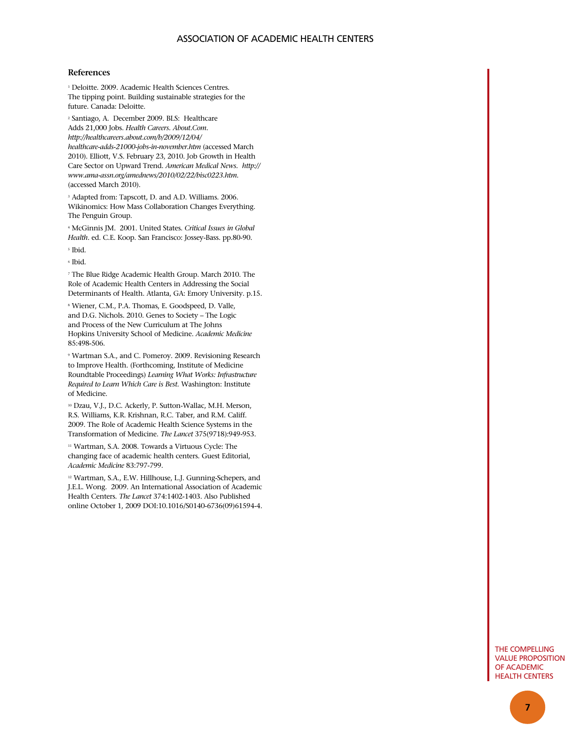#### association of academic health centers

#### **References**

1 Deloitte. 2009. Academic Health Sciences Centres. The tipping point. Building sustainable strategies for the future. Canada: Deloitte.

2 Santiago, A. December 2009. BLS: Healthcare Adds 21,000 Jobs. *Health Careers. About.Com. http://healthcareers.about.com/b/2009/12/04/ healthcare-adds-21000-jobs-in-november.htm* (accessed March 2010). Elliott, V.S. February 23, 2010. Job Growth in Health Care Sector on Upward Trend. *American Medical News. http:// www.ama-assn.org/amednews/2010/02/22/bisc0223.htm.* (accessed March 2010).

3 Adapted from: Tapscott, D. and A.D. Williams. 2006. Wikinomics: How Mass Collaboration Changes Everything. The Penguin Group.

<sup>4</sup> McGinnis JM. 2001. United States. *Critical Issues in Global Health*. ed. C.E. Koop. San Francisco: Jossey-Bass. pp.80-90. 5 Ibid.

6 Ibid.

<sup>7</sup> The Blue Ridge Academic Health Group. March 2010. The Role of Academic Health Centers in Addressing the Social Determinants of Health. Atlanta, GA: Emory University. p.15.

<sup>8</sup> Wiener, C.M., P.A. Thomas, E. Goodspeed, D. Valle, and D.G. Nichols. 2010. Genes to Society – The Logic and Process of the New Curriculum at The Johns Hopkins University School of Medicine. *Academic Medicine* 85:498-506.

9 Wartman S.A., and C. Pomeroy. 2009. Revisioning Research to Improve Health. (Forthcoming, Institute of Medicine Roundtable Proceedings) *Learning What Works: Infrastructure Required to Learn Which Care is Best*. Washington: Institute of Medicine.

<sup>10</sup> Dzau, V.J., D.C. Ackerly, P. Sutton-Wallac, M.H. Merson, R.S. Williams, K.R. Krishnan, R.C. Taber, and R.M. Califf. 2009. The Role of Academic Health Science Systems in the Transformation of Medicine. *The Lancet* 375(9718):949-953.

11 Wartman, S.A. 2008. Towards a Virtuous Cycle: The changing face of academic health centers. Guest Editorial, *Academic Medicine* 83:797-799.

<sup>12</sup> Wartman, S.A., E.W. Hillhouse, L.J. Gunning-Schepers, and J.E.L. Wong. 2009. An International Association of Academic Health Centers. *The Lancet* 374:1402-1403. Also Published online October 1, 2009 DOI:10.1016/S0140-6736(09)61594-4.